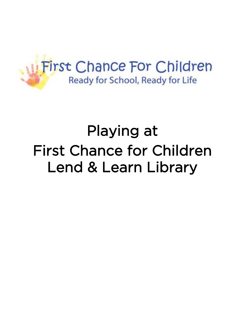

## Playing at First Chance for Children Lend & Learn Library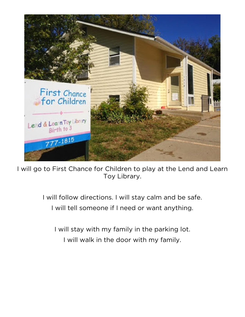

I will go to First Chance for Children to play at the Lend and Learn Toy Library.

I will follow directions. I will stay calm and be safe.

I will tell someone if I need or want anything.

I will stay with my family in the parking lot. I will walk in the door with my family.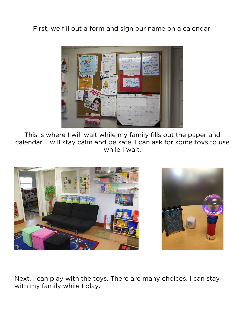First, we fill out a form and sign our name on a calendar.



This is where I will wait while my family fills out the paper and calendar. I will stay calm and be safe. I can ask for some toys to use while I wait.



Next, I can play with the toys. There are many choices. I can stay with my family while I play.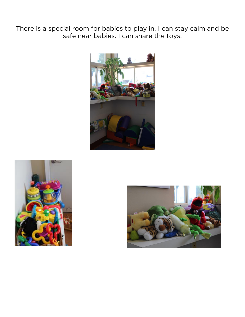There is a special room for babies to play in. I can stay calm and be safe near babies. I can share the toys.





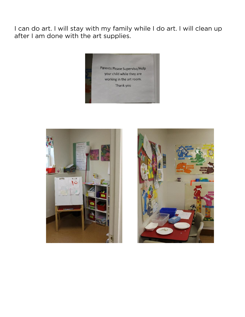I can do art. I will stay with my family while I do art. I will clean up after I am done with the art supplies.





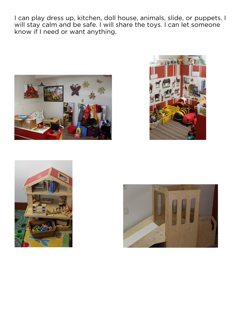I can play dress up, kitchen, doll house, animals, slide, or puppets. I will stay calm and be safe. I will share the toys. I can let someone know if I need or want anything.